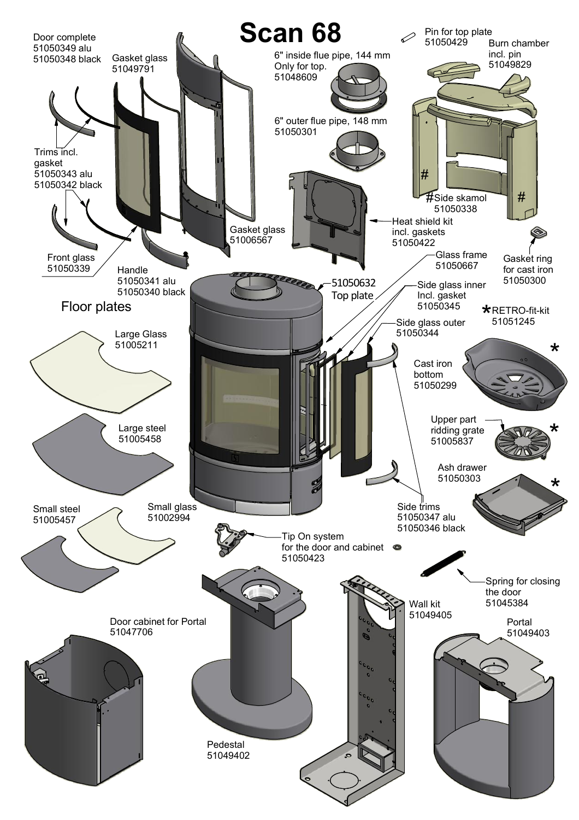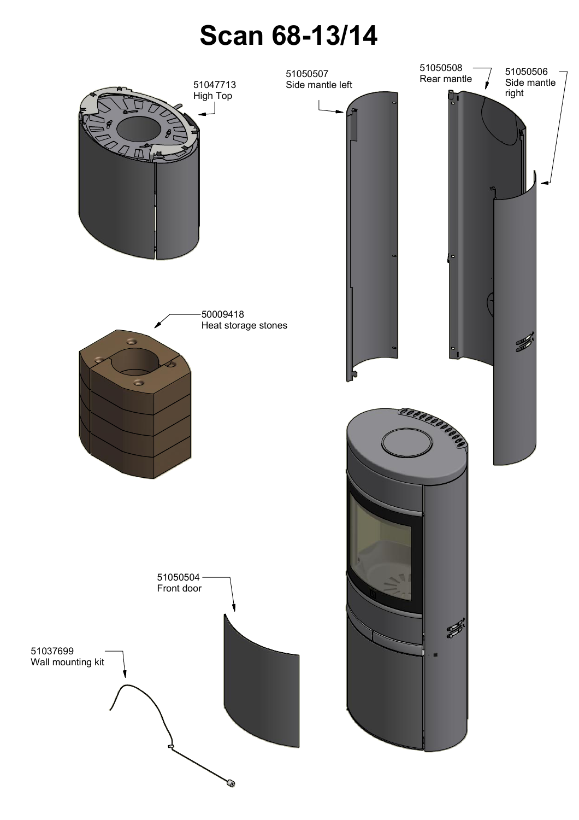## **Scan 68-13/14**